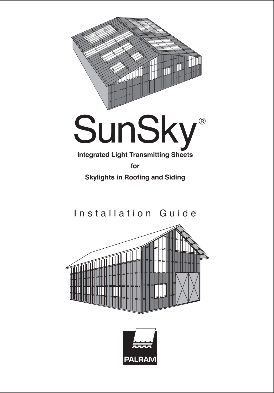

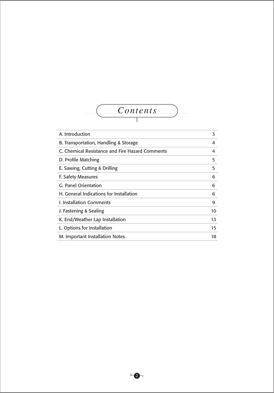

| A. Introduction                                 | 3  |
|-------------------------------------------------|----|
| B. Transportation, Handling & Storage           | 4  |
| C. Chemical Resistance and Fire Hazard Comments | 4  |
| D. Profile Matching                             | 5  |
| E. Sawing, Cutting & Drilling                   | 5  |
| F. Safety Measures                              | 6  |
| G. Panel Orientation                            | 6  |
| <b>H.</b> General Indications for Installation  | 6  |
| <b>L. Installation Comments</b>                 | 9  |
| J. Fastening & Sealing                          | 10 |
| K. End/Weather Lap Installation                 | 13 |
| L. Options for Installation                     | 15 |
| M. Important Installation Notes                 | 18 |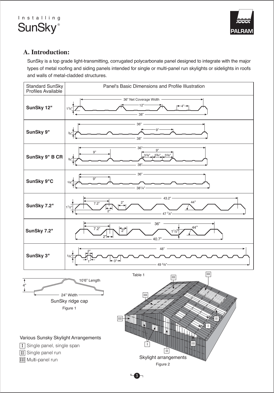



# **A. Introduction:**

SunSky is a top grade light-transmitting, corrugated polycarbonate panel designed to integrate with the major types of metal roofing and siding panels intended for single or multi-panel run skylights or sidelights in roofs and walls of metal-cladded structures.

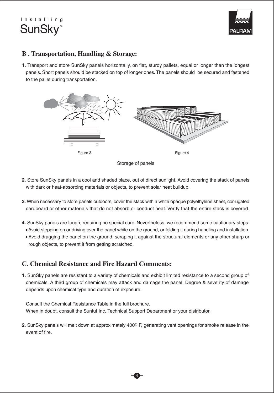



# **B . Transportation, Handling & Storage:**

**1.** Transport and store SunSky panels horizontally, on flat, sturdy pallets, equal or longer than the longest panels. Short panels should be stacked on top of longer ones. The panels should be secured and fastened to the pallet during transportation.



Storage of panels

- **2.** Store SunSky panels in a cool and shaded place, out of direct sunlight. Avoid covering the stack of panels with dark or heat-absorbing materials or objects, to prevent solar heat buildup.
- **3.** When necessary to store panels outdoors, cover the stack with a white opaque polyethylene sheet, corrugated cardboard or other materials that do not absorb or conduct heat. Verify that the entire stack is covered.
- **4.** SunSky panels are tough, requiring no special care. Nevertheless, we recommend some cautionary steps:
	- Avoid stepping on or driving over the panel while on the ground, or folding it during handling and installation.
- Avoid dragging the panel on the ground, scraping it against the structural elements or any other sharp or rough objects, to prevent it from getting scratched.

# **C. Chemical Resistance and Fire Hazard Comments:**

**1.** SunSky panels are resistant to a variety of chemicals and exhibit limited resistance to a second group of chemicals. A third group of chemicals may attack and damage the panel. Degree & severity of damage depends upon chemical type and duration of exposure.

Consult the Chemical Resistance Table in the full brochure. When in doubt, consult the Suntuf Inc. Technical Support Department or your distributor.

**2.** SunSky panels will melt down at approximately 400<sup>0</sup> F, generating vent openings for smoke release in the event of fire.

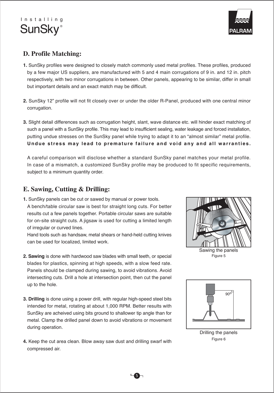



# **D. Profile Matching:**

- **1.** SunSky profiles were designed to closely match commonly used metal profiles. These profiles, produced by a few major US suppliers, are manufactured with 5 and 4 main corrugations of 9 in. and 12 in. pitch respectively, with two minor corrugations in between. Other panels, appearing to be similar, differ in small but important details and an exact match may be difficult.
- **2.** SunSky 12" profile will not fit closely over or under the older R-Panel, produced with one central minor corrugation.
- **3.** Slight detail differences such as corrugation height, slant, wave distance etc. will hinder exact matching of such a panel with a SunSky profile. This may lead to insufficient sealing, water leakage and forced installation, putting undue stresses on the SunSky panel while trying to adapt it to an "almost similar" metal profile. **Undue stress may lead to premature failure and void any and all warranties.**

A careful comparison will disclose whether a standard SunSky panel matches your metal profile. In case of a mismatch, a customized SunSky profile may be produced to fit specific requirements, subject to a minimum quantity order.

# **E. Sawing, Cutting & Drilling:**

**1.** SunSky panels can be cut or sawed by manual or power tools. A bench/table circular saw is best for straight long cuts. For better results cut a few panels together. Portable circular saws are suitable for on-site straight cuts. A jigsaw is used for cutting a limited length of irregular or curved lines.

Hand tools such as handsaw, metal shears or hand-held cutting knives can be used for localized, limited work.

- **2. Sawing** is done with hardwood saw blades with small teeth, or special blades for plastics, spinning at high speeds, with a slow feed rate. Panels should be clamped during sawing, to avoid vibrations. Avoid intersecting cuts. Drill a hole at intersection point, then cut the panel up to the hole.
- **3. Drilling** is done using a power drill, with regular high-speed steel bits intended for metal, rotating at about 1,000 RPM. Better results with SunSky are acheived using bits ground to shallower tip angle than for metal. Clamp the drilled panel down to avoid vibrations or movement during operation.
- **4.** Keep the cut area clean. Blow away saw dust and drilling swarf with compressed air.



Figure 5 Sawing the panels



Drilling the panels Figure 6

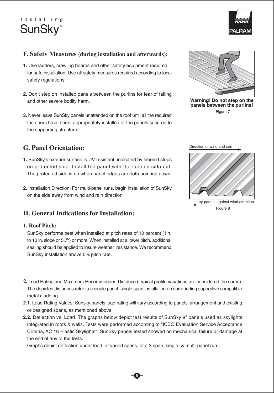



# **F. Safety Measures (during installation and afterwards):**

- **1.** Use ladders, crawling boards and other safety equipment required for safe installation. Use all safety measures required according to local safety regulations.
- **2.** Don't step on installed panels between the purlins for fear of falling and other severe bodily harm.
- **3.** Never leave SunSky panels unattended on the roof until all the required fasteners have been appropriately installed or the panels secured to the supporting structure.

# **G. Panel Orientation:**

- **1.** SunSky's exterior surface is UV resistant, indicated by labeled strips on protected side. Install the panel with the labeled side out. The protected side is up when panel edges are both pointing down.
- **2.** Installation Direction: For multi-panel runs, begin installation of SunSky on the side away from wind and rain direction.

# **H. General Indications for Installation:**

#### **1. Roof Pitch:**

SunSky performs best when installed at pitch rates of 10 percent (1in. to 10 in. slope or 5.7 $^{\circ}$ ) or more. When installed at a lower pitch, additional sealing should be applied to insure weather resistance. We recommend SunSky installation above 5% pitch rate.



**Warning! Do not step on the panels between the purlins!** Figure 7





- **2.** Load Rating and Maximum Recommended Distance (Typical profile variations are considered the same): The depicted distances refer to a single panel, single span installation on surrounding supportive compatible metal cladding.
- **2.1.** Load Rating Values: Sunsky panels load rating will vary according to panels' arrangement and existing or designed spans, as mentioned above.
- **2.2.** Deflection vs. Load: The graphs below depict test results of SunSky 9" panels used as skylights integrated in roofs & walls. Tests were performed according to "ICBO Evaluation Service Acceptance Criteria, AC 16 Plastic Skylights". SunSky panels tested showed no mechanical failure or damage at the end of any of the tests.

Graphs depict deflection under load, at varied spans, of a 3 span, single- & multi-panel run.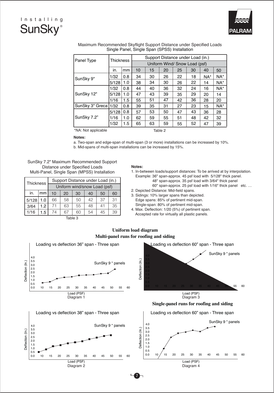



|                                | Thickness |                               |                                   |    |    |    |    |     |        |
|--------------------------------|-----------|-------------------------------|-----------------------------------|----|----|----|----|-----|--------|
| Panel Type                     |           |                               | Support Distance under Load (in.) |    |    |    |    |     |        |
|                                |           | Uniform Wind/ Snow Load (psf) |                                   |    |    |    |    |     |        |
|                                | in.       | mm                            | 10                                | 15 | 20 | 25 | 30 | 40  | 50     |
| SunSky 9"                      | 1/32      | 0.8                           | 34                                | 30 | 26 | 22 | 18 | NA* | NA*    |
|                                | 5/128     | 1.0                           | 38                                | 34 | 30 | 26 | 22 | 14  | $NA^*$ |
| SunSky 12"                     | 1/32      | 0.8                           | 44                                | 40 | 36 | 32 | 24 | 16  | $NA^*$ |
|                                | 5/128     | 1.0                           | 47                                | 43 | 39 | 35 | 29 | 20  | 14     |
|                                | 1/16      | 1.5                           | 55                                | 51 | 47 | 42 | 36 | 28  | 20     |
| SunSky 3" Greca                | 1/32      | 0.8                           | 39                                | 35 | 31 | 27 | 23 | 15  | $NA^*$ |
| SunSky 7.2"                    | 5/128     | 0.8                           | 57                                | 53 | 50 | 47 | 43 | 36  | 28     |
|                                | 1/16      | 1.0                           | 62                                | 59 | 55 | 51 | 48 | 42  | 32     |
|                                | 1/32      | 1.5                           | 65                                | 63 | 59 | 55 | 52 | 47  | 39     |
| *NA: Not applicable<br>Table 2 |           |                               |                                   |    |    |    |    |     |        |

Maximum Recommended Skyflight Support Distance under Specified Loads Single Panel, Single Span (SPSS) Installation

\*NA: Not applicable

#### **Notes:**

a. Two-span and edge-span of multi-span (3 or more) installations can be increased by 10%. b. Mid-spans of multi-span installations can be increased by 15%.

SunSky 7.2" Maximum Recommended Support Distance under Specified Loads Multi-Panel, Single Span (MPSS) Installation

| Thickness |     | Support Distance under Load (in.) |    |    |    |    |    |  |  |
|-----------|-----|-----------------------------------|----|----|----|----|----|--|--|
|           |     | Uniform wind/snow Load (psf)      |    |    |    |    |    |  |  |
| in.       | mm  | 10                                | 20 | 30 | 40 | 50 | 60 |  |  |
| 5/128     | 1.0 | 66                                | 58 | 50 | 42 | 37 | 31 |  |  |
| 3/64      | 1.2 | 71                                | 63 | 55 | 48 | 41 | 35 |  |  |
| 1/16      | 1.5 | 74                                | 67 | 60 | 54 | 45 | 39 |  |  |

#### **Notes:**

- 1. In-between loads/support distances: To be arrived at by interpolation. Example: 36" span-approx. 45 psf load with 5/128" thick panel.
	- 48" span-approx. 35 psf load with 3/64" thick panel
	- 60" span-approx. 25 psf load with 1/16" thick panel etc. …
- 2. Depicted Distance: Mid-field spans.
- 3. Sidings: 10% larger spans than depicted. Edge spans: 85% of pertinent mid-span.
- Single-span: 80% of pertinent mid-span. 4. Max. Deflection: 1/20 (5%) of pertinent span.
- Accepted rate for virtually all plastic panels.

Table 3

#### **Uniform load diagram Multi-panel runs for roofing and siding**

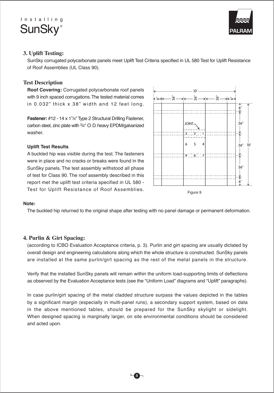



### **3. Uplift Testing:**

SunSky corrugated polycarbonate panels meet Uplift Test Criteria specified in UL 580 Test for Uplift Resistance of Roof Assemblies (UL Class 90).

### **Test Description**

**Roof Covering:** Corrugated polycarbonate roof panels with 9 inch spaced corrugations. The tested material comes in 0.032" thick x 38" width and 12 feet long.

**Fastener:** #12 - 14 x 11/4" Type 2 Structural Drilling Fastener, carbon steel, zinc plate with 3/4" O. D. heavy EPDM/galvanized washer.

#### **Uplift Test Results**

A buckled hip was visible during the test. The fasteners were in place and no cracks or breaks were found in the SunSky panels. The test assembly withstood all phase of test for Class 90. The roof assembly described in this report met the uplift test criteria specified in UL 580 - Test for Uplift Resistance of Roof Assemblies.



#### **Note:**

The buckled hip returned to the original shape after testing with no panel damage or permanent deformation.

### **4. Purlin & Girt Spacing:**

(according to ICBO Evaluation Acceptance criteria, p. 3). Purlin and girt spacing are usually dictated by overall design and engineering calculations along which the whole structure is constructed. SunSky panels are installed at the same purlin/girt spacing as the rest of the metal panels in the structure.

Verify that the installed SunSky panels will remain within the uniform load-supporting limits of deflections as observed by the Evaluation Acceptance tests (see the "Uniform Load" diagrams and "Uplift" paragraphs).

In case purlin/girt spacing of the metal cladded structure surpass the values depicted in the tables by a significant margin (especially in multi-panel runs), a secondary support system, based on data in the above mentioned tables, should be prepared for the SunSky skylight or sidelight. When designed spacing is marginally larger, on site environmental conditions should be considered and acted upon.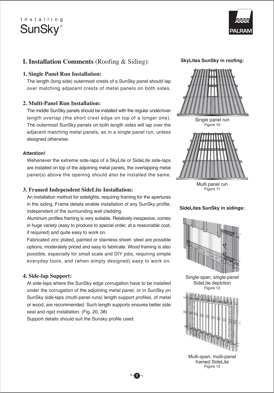

# **I. Installation Comments** (Roofing & Siding):

#### **1. Single Panel Run Installation:**

The length (long side) outermost crests of a SunSky panel should lap over matching adjacent crests of metal panels on both sides.

### **2. Multi-Panel Run Installation:**

The middle SunSky panels should be installed with the regular under/over length overlap (the short crest edge on top of a longer one). The outermost SunSky panels on both length sides will lap over the adjacent matching metal panels, as in a single panel run, unless designed otherwise.

#### **Attention!**

Wehenever the extreme side-laps of a SkyLite or SideLite side-laps are installed on top of the adjoining metal panels, the overlapping metal panel(s) above the opening should also be installed the same.

### **3. Framed Independent SideLite Installation:**

An installation method for sidelights, requiring framing for the apertures in the siding. Frame details enable installation of any SunSky profile, independent of the surrounding wall cladding.

Aluminum profiles framing is very suitable. Relatively inexpesive, comes in huge variety (easy to produce to special order, at a reasonable cost, if required) and quite easy to work on.

Fabricated zinc plated, painted or stainless sheet- steel are possible options, moderately priced and easy to fabricate. Wood framing is also possible, especially for small scale and DIY jobs, requiring simple everyday tools, and (when simply designed) easy to work on.

### **4. Side-lap Support:**

At side-laps where the SunSky edge corrugation have to be installed under the corrugation of the adjoining metal panel, or in SunSky on SunSky side-laps (multi-panel runs) length support profiles, of metal or wood, are recommended. Such length supports ensures better side seal and rigid installation. (Fig. 20, 38)

9

Support details should suit the Sunsky profile used.

**SkyLites SunSky in roofing:**



Figure 11 Multi panel run

**SideLites SunSky in sidings:**



Single-span, single-panel SideLite depiction Figure 12



Multi-span, multi-panel framed SideLite Figure 13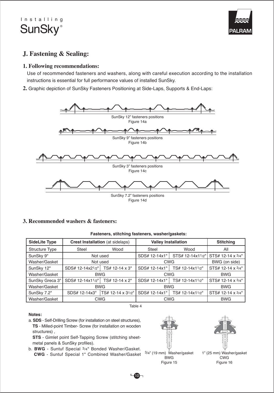

# **J. Fastening & Sealing:**

#### **1. Following recommendations:**

Use of recommended fasteners and washers, along with careful execution according to the installation instructions is essential for full performance values of installed SunSky.

**2.** Graphic depiction of SunSky Fasteners Positioning at Side-Laps, Supports & End-Laps:



#### **3. Recommended washers & fasteners:**

#### **Fasteners, stitching fasteners, washer/gaskets:**

| <b>SideLite Type</b> | <b>Crest Installation</b> (at sidelaps) |                   | <b>Valley Installation</b>       | <b>Stitching</b> |                   |
|----------------------|-----------------------------------------|-------------------|----------------------------------|------------------|-------------------|
| Structure Type       | Wood<br>Steel                           |                   | Steel                            | Wood             | All               |
| SunSky 9"            |                                         | Not used          | SDS# 12-14x1"                    | STS# 12-14x11/2" | STS# 12-14 x 3/4" |
| Washer/Gasket        |                                         | Not used          | <b>CWG</b>                       | BWG (on side)    |                   |
| SunSky 12"           | SDS# 12-14x21/2"                        | TS# 12-14 x 3"    | SDS# 12-14x1"                    | TS# 12-14x11/2"  | STS# 12-14 x 3/4" |
| Washer/Gasket        |                                         | <b>BWG</b>        | <b>CWG</b>                       | <b>BWG</b>       |                   |
| SunSky Greca 3"      | SDS# 12-14x11/2"                        | TS# 12-14 x 2"    | TS# 12-14x11/2"<br>SDS# 12-14x1" |                  | STS# 12-14 x 3/4" |
| Washer/Gasket        |                                         | <b>BWG</b>        | <b>BWG</b>                       | <b>BWG</b>       |                   |
| SunSky 7.2"          | SDS# 12-14x3"                           | TS# 12-14 x 31/2" | SDS# 12-14x1"                    | TS# 12-14x11/2"  | STS# 12-14 x 3/4" |
| Washer/Gasket        |                                         | <b>CWG</b>        | <b>CWG</b>                       | <b>BWG</b>       |                   |

Table 4

#### **Notes:**

a. **SDS** - Self-Drilling Screw (for installation on steel structures), **TS** - Milled-point Timber- Screw (for installation on wooden structures) ,

**STS** - Gimlet point Self-Tapping Screw (stitching sheetmetal panels & SunSky profiles).

b. **BWG** - Suntuf Special 3/4" Bonded Washer/Gasket. **CWG** - Suntuf Special 1" Combined Washer/Gasket <sup>3/4"</sup> (19 mm) Washer/gasket 1" (25 mm) Washer/gasket





<sup>3/4&</sup>quot; (19 mm) Washer/gasket BWG Figure 15

CWG Figure 16

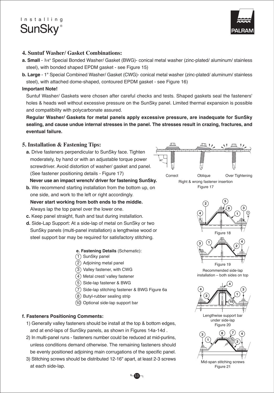



#### **4. Suntuf Washer/ Gasket Combinations:**

- **a. Small** 3/4" Special Bonded Washer/ Gasket (BWG)- conical metal washer (zinc-plated/ aluminum/ stainless steel), with bonded shaped EPDM gasket - see Figure 15)
- **b. Large** 1" Special Combined Washer/ Gasket (CWG)- conical metal washer (zinc-plated/ aluminum/ stainless steel), with attached dome-shaped, contoured EPDM gasket - see Figure 16)

#### **Important Note!**

Suntuf Washer/ Gaskets were chosen after careful checks and tests. Shaped gaskets seal the fasteners' holes & heads well without excessive pressure on the SunSky panel. Limited thermal expansion is possible and compatibility with polycarbonate assured.

**Regular Washer/ Gaskets for metal panels apply excessive pressure, are inadequate for SunSky sealing, and cause undue internal stresses in the panel. The stresses result in crazing, fractures, and eventual failure.**

### **5. Installation & Fastening Tips:**

**a.** Drive fasteners perpendicular to SunSky face. Tighten moderately, by hand or with an adjustable torque power screwdriver. Avoid distortion of washer/ gasket and panel. (See fastener positioning details - Figure 17)



- **b.** We recommend starting installation from the bottom up, on one side, and work to the left or right accordingly. **Never start working from both ends to the middle.** Always lap the top panel over the lower one.
- **c.** Keep panel straight, flush and taut during installation.
- **d.** Side-Lap Support: At a side-lap of metal on SunSky or two SunSky panels (multi-panel installation) a lengthwise wood or steel support bar may be required for satisfactory stitching.

#### **e. Fastening Details** (Schematic):

- 1) SunSky panel
- 2) Adjoining metal panel
- 3) Valley fastener, with CWG
- Metal crest/ valley fastener 4
- Side-lap fastener & BWG 5
- 7) Side-lap stitching fastener & BWG Figure 6a
- 8) Butyl-rubber sealing strip
- (10) Optional side-lap support bar

#### **f. Fasteners Positioning Comments:**

- 1) Generally valley fasteners should be install at the top & bottom edges, and at end-laps of SunSky panels, as shown in Figures 14a-14d .
- 2) In multi-panel runs fasteners number could be reduced at mid-purlins, unless conditions demand otherwise. The remaining fasteners should be evenly positioned adjoining main corrugations of the specific panel.
- 3) Stitching screws should be distributed 12-16" apart, at least 2-3 screws at each side-lap.



Correct Oblique Over Tightening Right & wrong fastener insertion Figure 17



Mid-span stitching screws Figure 21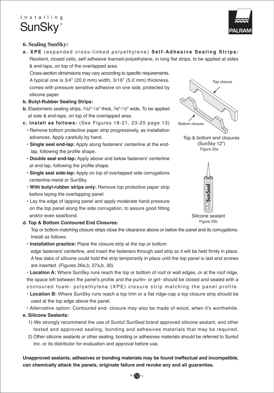

# **6. Sealing SunSky:**

**a. XPE** (expanded cross-linked polyethylene) **Self-Adhesive Sealing Strips:** Resilient, closed cells, self adhesive foamed-polyethylene, in long flat strips, to be applied at sides & end-laps, on top of the overlapped area.

 Cross-section dimensions may vary according to specific requirements. A typical one is 3⁄4" (20.0 mm) width, 3/16" (5.0 mm) thickness. comes with pressure sensitive adhesive on one side, protected by silicone paper.

### **b. Butyl-Rubber Sealing Strips:**

- **b.** Elastomeric sealing strips, 2/32"-1/8" thick, 3/8"-1/2" wide, To be applied at side & end-laps, on top of the overlapped area.
- **c. Install as follows:** (See Figures 18-21, 23-25 page 13)
- Remove bottom protective paper strip progressively, as installation advances. Apply carefully by hand.
- **Single seal end-lap:** Apply along fasteners' centerline at the end lap, following the profile shape.
- **Double seal end-lap:** Apply above and below fasteners' centerline at end-lap, following the profile shape.
- **Single seal side-lap:** Apply on top of overlapped side corrugations centerline-metal or SunSky.
- **With butyl-rubber strips only:** Remove top protective paper strip before laying the overlapping panel.
- Lay the edge of lapping panel and apply moderate hand pressure on the top panel along the side corrugation, to assure good fitting and/or even seal/bond.
- **d. Top & Bottom Contoured End Closures:**

Top or bottom matching closure strips close the clearance above or below the panel and its corrugations. Install as follows:

**• Installation practice:** Place the closure strip at the top or bottom

edge fasteners' centerline, and insert the fasteners through said strip so it will be held firmly in place. A few dabs of silicone could hold the strip temporarily in place until the top panel is laid and screws are inserted. (Figures 26a,b, 27a,b, 30)

**• Location A:** Where SunSky runs reach the top or bottom of roof or wall edges, or at the roof ridge, the space left between the panel's profile and the purlin- or girt- should be closed and sealed with a contoured foam- polyethylene (XPE) closure strip matching the panel profile.

• **Location B:** Where SunSky runs reach a top trim or a flat ridge-cap a top closure strip should be used at the top edge above the panel.

• Alternative option: Contoured end- closure may also be made of wood, when it's worthwhile.

# **e. Silicone Sealants:**

- 1) We strongly recommend the use of Suntuf SunSeal brand approved silicone sealant, and other tested and approved sealing, bonding and adhesives materials that may be required.
- 2) Other silicone sealants or other sealing, bonding or adhesives materials should be referred to Suntuf Inc. or its distributor for evaluation and approval before use.

**Unapproved sealants, adhesives or bonding materials may be found ineffectual and incompatible, can chemically attack the panels, originate failure and revoke any and all guaranties.**

Top closure Bottom closure Figure 22a Top & bottom end closures (SunSky 12")



Silicone sealant Figure 22b

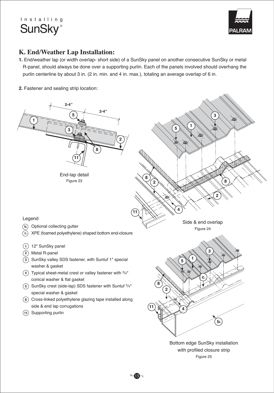

# **K. End/Weather Lap Installation:**

- **1.** End/weather lap (or width overlap- short side) of a SunSky panel on another consecutive SunSky or metal R-panel, should always be done over a supporting purlin. Each of the panels involved should overhang the purlin centerline by about 3 in. (2 in. min. and 4 in. max.), totaling an average overlap of 6 in.
- **2.** Fastener and sealing strip location:



 $-\mathbf{B}$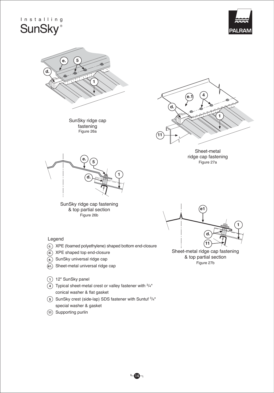



- **e1.** Sheet-metal universal ridge cap
- **1** 12" SunSky panel
- **4** Typical sheet-metal crest or valley fastener with 3/4" conical washer & flat gasket
- 5) SunSky crest (side-lap) SDS fastener with Suntuf  $3/4"$ special washer & gasket

 $\overline{\mathbf{A}}$ 

**11** Supporting purlin

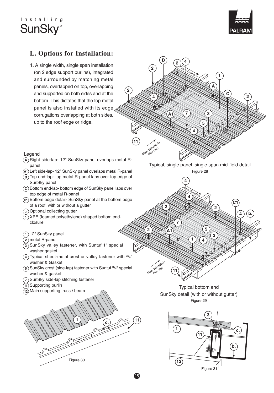



# **L. Options for Installation:**

**1.** A single width, single span installation (on 2 edge support purlins), integrated and surrounded by matching metal panels, overlapped on top, overlapping and supported on both sides and at the bottom. This dictates that the top metal panel is also installed with its edge corrugations overlapping at both sides, up to the roof edge or ridge.



- **A** Right side-lap- 12" SunSky panel overlaps metal Rpanel
- **A1** Left side-lap- 12" SunSky panel overlaps metal R-panel
- **B** Top end-lap- top metal R-panel laps over top edge of SunSky panel
- **C** Bottom end-lap- bottom edge of SunSky panel laps over top edge of metal R-panel
- **C1** Bottom edge detail- SunSky panel at the bottom edge of a roof, with or without a gutter
- **b.** Optional collecting gutter
- **c.** XPE (foamed polyethylene) shaped bottom endclosure
- **1** 12" SunSky panel
- **2** metal R-panel
- **3** SunSky valley fastener, with Suntuf 1" special washer gasket
- **4** Typical sheet-metal crest or valley fastener with 3/4" washer & Gasket
- **5** SunSky crest (side-lap) fastener with Suntuf 3/4" special washer & gasket
- **7** SunSky side-lap stitching fastener
- **11** Supporting purlin





Figure 28 Typical, single panel, single span mid-field detail



Typical bottom end SunSky detail (with or without gutter) Figure 29

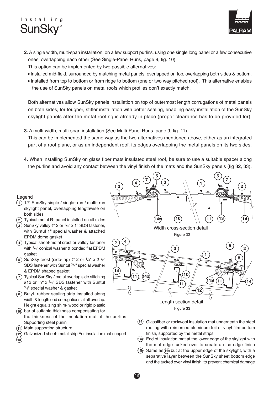

- **2.** A single width, multi-span installation, on a few support purlins, using one single long panel or a few consecutive ones, overlapping each other (See Single-Panel Runs, page 9, fig. 10).
	- This option can be implemented by two possible alternatives:
	- Installed mid-field, surrounded by matching metal panels, overlapped on top, overlapping both sides & bottom.
	- Installed from top to bottom or from ridge to bottom (one or two way pitched roof). This alternative enables the use of SunSky panels on metal roofs which profiles don't exactly match.

Both alternatives allow SunSky panels installation on top of outermost length corrugations of metal panels on both sides, for tougher, stiffer installation with better sealing, enabling easy installation of the SunSky skylight panels after the metal roofing is already in place (proper clearance has to be provided for).

**3.** A multi-width, multi-span installation (See Multi-Panel Runs. page 9, fig. 11).

This can be implemented the same way as the two alternatives mentioned above, either as an integrated part of a roof plane, or as an independent roof, its edges overlapping the metal panels on its two sides.

**4.** When installing SunSky on glass fiber mats insulated steel roof, be sure to use a suitable spacer along the purlins and avoid any contact between the vinyl finish of the mats and the SunSky panels (fig 32, 33).

16

#### Legend

- 12" SunSky single / single- run / multi- run **1** skylight panel, overlapping lengthwise on both sides
- Typical metal R- panel installed on all sides **2**
- 3) SunSky valley #12 or <sup>1</sup>/4" x 1" SDS fastener, with Suntuf 1" special washer & attached EPDM dome gasket
- Typical sheet-metal crest or valley fastener **4** with 3/4" conical washer & bonded flat EPDM gasket
- SunSky crest (side-lap) #12 or 1/4" x 21/2" **5** SDS fastener with Suntuf 3/4" special washer & EPDM shaped gasket
- Typical SunSky / metal overlap side stitching **7** #12 or  $\frac{1}{4}$ " x  $\frac{3}{4}$ " SDS fastener with Suntuf 3/ 4" special washer & gasket
- Butyl- rubber sealing strip installed along **8** width & length end corrugations at all overlap. Height equalizing shim- wood or rigid plastic
- 10) bar of suitable thickness compensating for the thickness of the insulation mat at the purlins Supporting steel purlin
- Main supporting structure **11**
- Galvanized sheet- metal strip For insulation mat support **12 13**



- Glassfiber or rockwool insulation mat underneath the steel **14** roofing with reinforced aluminum foil or vinyl film bottom finish, supported by the metal strips
- End of insulation mat at the lower edge of the skylight with **14a** the mat edge tucked over to create a nice edge finish
- Same as **14a** but at the upper edge of the skylight, with a separative layer between the SunSky sheet bottom edge and the tucked over vinyl finish, to prevent chemical damage **14b**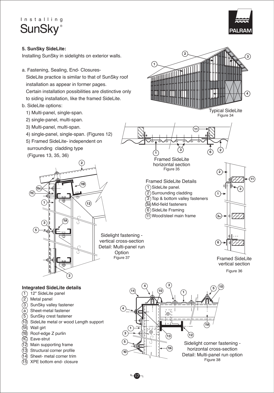

#### **5. SunSky SideLite: 2** Installing SunSky in sidelights on exterior walls. **3 1** a. Fastening, Sealing, End- Closures-**THE REAL PROPERTY** SideLite practice is similar to that of SunSky roof installation as appear in former pages. Certain installation possibilities are distinctive only **4** to siding installation, like the framed SideLite. b. SideLite options: Typical SideLite 1) Multi-panel, single-span. Figure 34 2) single-panel, multi-span. 3) Multi-panel, multi-span. **11** 4) single-panel, single-span. (Figures 12) 5) Framed SideLite- independent on surrounding cladding type  $\begin{matrix} 1 \\ 1 \end{matrix}$   $\qquad \begin{matrix} (3) \\ (6) \end{matrix}$ **2** (Figures 13, 35, 36)  $(1)$  Framed SideLite **2** horizontal section Figure 35 **2 11** Framed SideLite Details **11B** 1) SideLite panel. **15c. 3 11C** 2) Surrounding cladding **1** 3) Top & bottom valley fasteners **1 12** Mid-field fasteners 3a 6)SideLite Framing **3a** Wood/steel main frame 11 **3**  $\|$   $\|$   $\sqrt{14}$ **5** Sidelight fastening vertical cross-section **6** Detail: Multi-panel run Option Figure 37 Framed SideLite vertical section Figure 36 **2 4 3 <sup>5</sup> <sup>10</sup> Integrated SideLite details 14 <sup>10</sup>** 12" SideLite panel **1**  $(1)$  $\left( 2\right)$ Metal panel SunSky valley fastener 3 **4** Sheet-metal fastener a - - -<br>'©' |  $(5)$ SunSky crest fastener 10) SideLite metal or wood Length support **11A** Wall girt 11A **1** (11B) Roof-edge Z purlin **3 12 13** (11C) Eave-strut **5** Sidelight corner fastening - Main supporting frame 12 horizontal cross-section **11A** Structural corner profile 13 **10** Detail: Multi-panel run option Sheet- metal corner trim 14 Figure 38 XPE bottom end- closure 15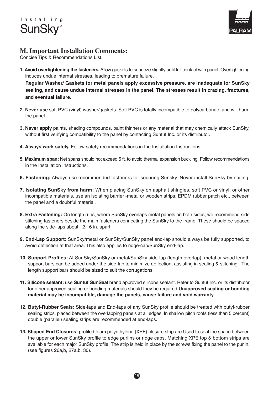



# **M. Important Installation Comments:**

Concise Tips & Recommendations List.

**1. Avoid overtightening the fasteners.** Allow gaskets to squeeze slightly until full contact with panel. Overtightening induces undue internal stresses, leading to premature failure.

 **Regular Washer/ Gaskets for metal panels apply excessive pressure, are inadequate for SunSky sealing, and cause undue internal stresses in the panel. The stresses result in crazing, fractures, and eventual failure.**

- **2. Never use** soft PVC (vinyl) washer/gaskets. Soft PVC is totally incompatible to polycarbonate and will harm the panel.
- **3. Never apply** paints, shading compounds, paint thinners or any material that may chemically attack SunSky, without first verifying compatibility to the panel by contacting Suntuf Inc. or its distributor.
- **4. Always work safely.** Follow safety recommendations in the Installation Instructions.
- **5. Maximum span:** Net spans should not exceed 5 ft. to avoid thermal expansion buckling. Follow recommendations in the Installation Instructions.
- **6. Fastening:** Always use recommended fasteners for securing Sunsky. Never install SunSky by nailing.
- **7. Isolating SunSky from harm:** When placing SunSky on asphalt shingles, soft PVC or vinyl, or other incompatible materials, use an isolating barrier -metal or wooden strips, EPDM rubber patch etc., between the panel and a doubtful material.
- **8. Extra Fastening:** On length runs, where SunSky overlaps metal panels on both sides, we recommend side stitching fasteners beside the main fasteners connecting the SunSky to the frame. These should be spaced along the side-laps about 12-16 in. apart.
- **9. End-Lap Support:** SunSky/metal or SunSky/SunSky panel end-lap should always be fully supported, to avoid deflection at that area. This also applies to ridge-cap/SunSky end-lap.
- **10. Support Profiles:** At SunSky/SunSky or metal/SunSky side-lap (length overlap), metal or wood length support bars can be added under the side-lap to minimize deflection, assisting in sealing & stitching. The length support bars should be sized to suit the corrugations.
- **11. Silicone sealant:** use **Suntuf SunSeal** brand approved silicone sealant. Refer to Suntuf Inc. or its distributor for other approved sealing or bonding materials should they be required.**Unapproved sealing or bonding material may be incompatible, damage the panels, cause failure and void warranty.**
- **12. Butyl-Rubber Seals:** Side-laps and End-laps of any SunSky profile should be treated with butyl-rubber sealing strips, placed between the overlapping panels at all edges. In shallow pitch roofs (less than 5 percent) double (parallel) sealing strips are recommended at end-laps.
- **13. Shaped End Closures:** profiled foam polyethylene (XPE) closure strip are Used to seal the space between the upper or lower SunSky profile to edge purlins or ridge caps. Matching XPE top & bottom strips are available for each major SunSky profile. The strip is held in place by the screws fixing the panel to the purlin. (see figures 26a,b, 27a,b, 30).

 $-18-$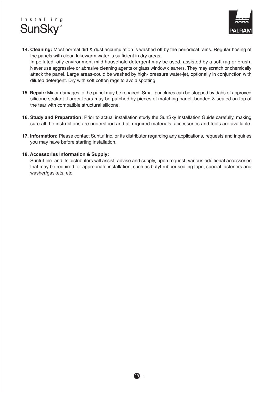



- **14. Cleaning:** Most normal dirt & dust accumulation is washed off by the periodical rains. Regular hosing of the panels with clean lukewarm water is sufficient in dry areas. In polluted, oily environment mild household detergent may be used, assisted by a soft rag or brush. Never use aggressive or abrasive cleaning agents or glass window cleaners. They may scratch or chemically attack the panel. Large areas-could be washed by high- pressure water-jet, optionally in conjunction with diluted detergent. Dry with soft cotton rags to avoid spotting.
- **15. Repair:** Minor damages to the panel may be repaired. Small punctures can be stopped by dabs of approved silicone sealant. Larger tears may be patched by pieces of matching panel, bonded & sealed on top of the tear with compatible structural silicone.
- **16. Study and Preparation:** Prior to actual installation study the SunSky Installation Guide carefully, making sure all the instructions are understood and all required materials, accessories and tools are available.
- **17. Information:** Please contact Suntuf Inc. or its distributor regarding any applications, requests and inquiries you may have before starting installation.

#### **18. Accessories Information & Supply:**

 Suntuf Inc. and its distributors will assist, advise and supply, upon request, various additional accessories that may be required for appropriate installation, such as butyl-rubber sealing tape, special fasteners and washer/gaskets, etc.